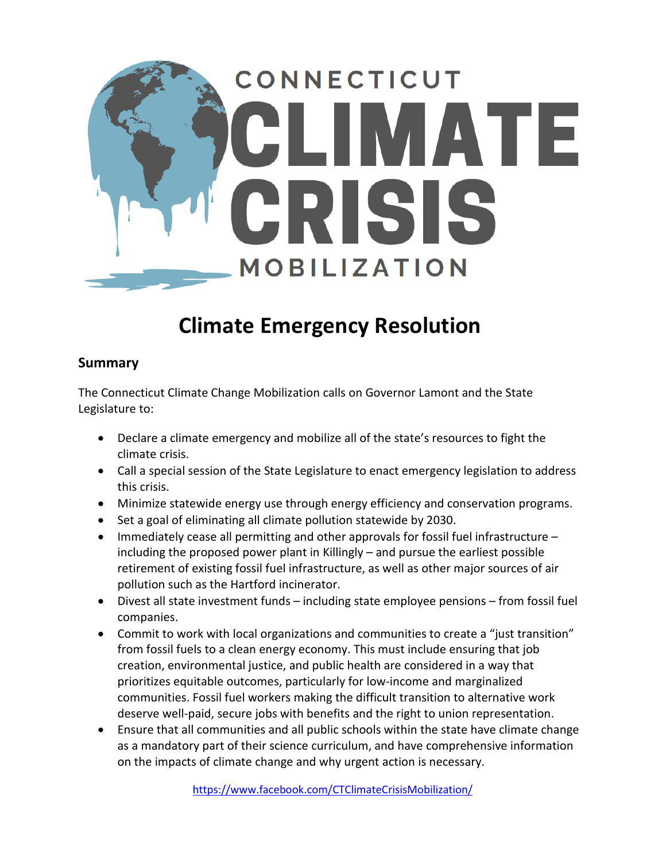

## **Climate Emergency Resolution**

## **Summary**

The Connecticut Climate Change Mobilization calls on Governor Lamont and the State Legislature to:

- Declare a climate emergency and mobilize all of the state's resources to fight the climate crisis.
- Call a special session of the State Legislature to enact emergency legislation to address this crisis.
- Minimize statewide energy use through energy efficiency and conservation programs.
- Set a goal of eliminating all climate pollution statewide by 2030.
- Immediately cease all permitting and other approvals for fossil fuel infrastructure including the proposed power plant in Killingly – and pursue the earliest possible retirement of existing fossil fuel infrastructure, as well as other major sources of air pollution such as the Hartford incinerator.
- Divest all state investment funds including state employee pensions from fossil fuel companies.
- Commit to work with local organizations and communities to create a "just transition" from fossil fuels to a clean energy economy. This must include ensuring that job creation, environmental justice, and public health are considered in a way that prioritizes equitable outcomes, particularly for low-income and marginalized communities. Fossil fuel workers making the difficult transition to alternative work deserve well-paid, secure jobs with benefits and the right to union representation.
- Ensure that all communities and all public schools within the state have climate change as a mandatory part of their science curriculum, and have comprehensive information on the impacts of climate change and why urgent action is necessary.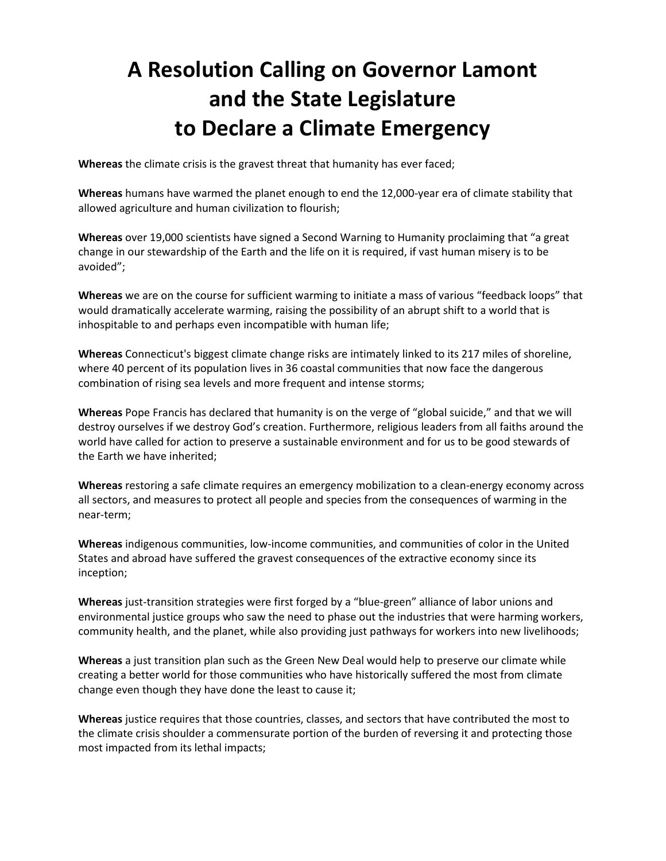## **A Resolution Calling on Governor Lamont and the State Legislature to Declare a Climate Emergency**

**Whereas** the climate crisis is the gravest threat that humanity has ever faced;

**Whereas** humans have warmed the planet enough to end the 12,000-year era of climate stability that allowed agriculture and human civilization to flourish;

**Whereas** over 19,000 scientists have signed a Second Warning to Humanity proclaiming that "a great change in our stewardship of the Earth and the life on it is required, if vast human misery is to be avoided";

**Whereas** we are on the course for sufficient warming to initiate a mass of various "feedback loops" that would dramatically accelerate warming, raising the possibility of an abrupt shift to a world that is inhospitable to and perhaps even incompatible with human life;

**Whereas** Connecticut's biggest climate change risks are intimately linked to its 217 miles of shoreline, where 40 percent of its population lives in 36 coastal communities that now face the dangerous combination of rising sea levels and more frequent and intense storms;

**Whereas** Pope Francis has declared that humanity is on the verge of "global suicide," and that we will destroy ourselves if we destroy God's creation. Furthermore, religious leaders from all faiths around the world have called for action to preserve a sustainable environment and for us to be good stewards of the Earth we have inherited;

**Whereas** restoring a safe climate requires an emergency mobilization to a clean-energy economy across all sectors, and measures to protect all people and species from the consequences of warming in the near-term;

**Whereas** indigenous communities, low-income communities, and communities of color in the United States and abroad have suffered the gravest consequences of the extractive economy since its inception;

**Whereas** just-transition strategies were first forged by a "blue-green" alliance of labor unions and environmental justice groups who saw the need to phase out the industries that were harming workers, community health, and the planet, while also providing just pathways for workers into new livelihoods;

**Whereas** a just transition plan such as the Green New Deal would help to preserve our climate while creating a better world for those communities who have historically suffered the most from climate change even though they have done the least to cause it;

**Whereas** justice requires that those countries, classes, and sectors that have contributed the most to the climate crisis shoulder a commensurate portion of the burden of reversing it and protecting those most impacted from its lethal impacts;